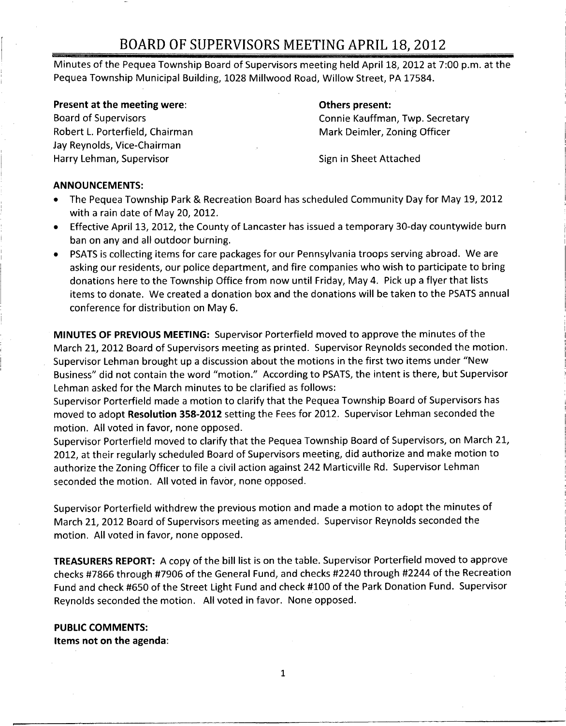Minutes of the Pequea Township Board of Supervisors meeting held April 18, 2012 at 7:00 p.m. at the Pequea Township Municipal Building, 1028 Millwood Road, Willow Street, PA 17584.

#### Present at the meeting were: The meeting of the state of the spresent:

Robert L. Porterfield, Chairman Mark Deimler, Zoning Officer Jay Reynolds, Vice-Chairman Harry Lehman, Supervisor Supervisor Sign in Sheet Attached

# Board of Supervisors Connie Kauffman, Twp. Secretary

### ANNOUNCEMENTS:

- The Pequea Township Park & Recreation Board has scheduled Community Day for May 19, 2012 with <sup>a</sup> rain date of May 20, 2012.
- Effective April 13, 2012, the County of Lancaster has issued <sup>a</sup> temporary 30 -day countywide burn ban on any and all outdoor burning.
- PSATS is collecting items for care packages for our Pennsylvania troops serving abroad. We are asking our residents, our police department, and fire companies who wish to participate to bring donations here to the Township Office from now until Friday, May 4. Pick up <sup>a</sup> flyer that lists items to donate. We created <sup>a</sup> donation box and the donations will be taken to the PSATS annual conference for distribution on May 6.

MINUTES OF PREVIOUS MEETING: Supervisor Porterfield moved to approve the minutes of the March 21, 2012 Board of Supervisors meeting as printed. Supervisor Reynolds seconded the motion. Supervisor Lehman brought up <sup>a</sup> discussion about the motions in the first two items under "New Business" did not contain the word "motion." According to PSATS, the intent is there, but Supervisor Lehman asked for the March minutes to be clarified as follows:

Supervisor Porterfield made <sup>a</sup> motion to clarify that the Pequea Township Board of Supervisors has moved to adopt Resolution 358 -2012 setting the Fees for 2012. Supervisor Lehman seconded the motion. All voted in favor, none opposed.

Supervisor Porterfield moved to clarify that the Pequea Township Board of Supervisors, on March 21, 2012, at their regularly scheduled Board of Supervisors meeting, did authorize and make motion to authorize the Zoning Officer to file <sup>a</sup> civil action against 242 Marticville Rd. Supervisor Lehman seconded the motion. All voted in favor, none opposed.

Supervisor Porterfield withdrew the previous motion and made <sup>a</sup> motion to adopt the minutes of March 21, 2012 Board of Supervisors meeting as amended. Supervisor Reynolds seconded the motion. All voted in favor, none opposed.

TREASURERS REPORT: A copy of the bill list is on the table. Supervisor Porterfield moved to approve checks #7866 through #7906 of the General Fund, and checks #2240 through #2244 of the Recreation Fund and check #650 of the Street Light Fund and check #100 of the Park Donation Fund. Supervisor Reynolds seconded the motion. All voted in favor. None opposed.

## PUBLIC COMMENTS:

Items not on the agenda:

1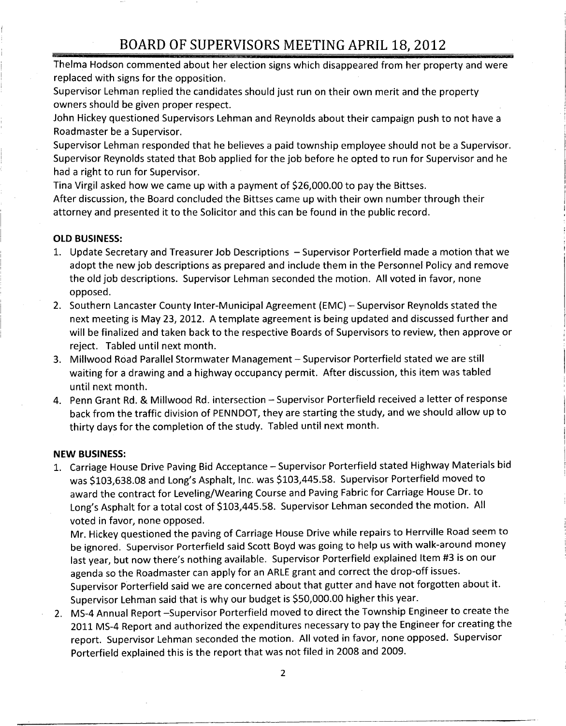Thelma Hodson commented about her election signs which disappeared from her property and were replaced with signs for the opposition.

Supervisor Lehman replied the candidates should just run on their own merit and the property owners should be given proper respect.

John Hickey questioned Supervisors Lehman and Reynolds about their campaign push to not have <sup>a</sup> Roadmaster be <sup>a</sup> Supervisor.

Supervisor Lehman responded that he believes <sup>a</sup> paid township employee should not be <sup>a</sup> Supervisor. Supervisor Reynolds stated that Bob applied for the job before he opted to run for Supervisor and he had <sup>a</sup> right to run for Supervisor.

Tina Virgil asked how we came up with a payment of \$26,000.00 to pay the Bittses.

After discussion, the Board concluded the Bittses came up with their own number through their attorney and presented it to the Solicitor and this can be found in the public record.

## OLD BUSINESS:

- 1. Update Secretary and Treasurer Job Descriptions Supervisor Porterfield made <sup>a</sup> motion that we adopt the new job descriptions as prepared and include them in the Personnel Policy and remove the old job descriptions. Supervisor Lehman seconded the motion. All voted in favor, none opposed.
- 2. Southern Lancaster County Inter-Municipal Agreement (EMC) Supervisor Reynolds stated the next meeting is May 23, 2012. A template agreement is being updated and discussed further and will be finalized and taken back to the respective Boards of Supervisors to review, then approve or reject. Tabled until next month.
- 3. Millwood Road Parallel Stormwater Management Supervisor Porterfield stated we are still waiting for <sup>a</sup> drawing and <sup>a</sup> highway occupancy permit. After discussion, this item was tabled until next month.
- 4. Penn Grant Rd. & Millwood Rd. intersection Supervisor Porterfield received <sup>a</sup> letter of response back from the traffic division of PENNDOT, they are starting the study, and we should allow up to thirty days for the completion of the study. Tabled until next month.

## NEW BUSINESS:

1. Carriage House Drive Paving Bid Acceptance — Supervisor Porterfield stated Highway Materials bid W BUSINESS:<br>Carriage House Drive Paving Bid Acceptance – Supervisor Porterfield stated Highway Materia<br>was \$103,638.08 and Long's Asphalt, Inc. was \$103,445.58. Supervisor Porterfield moved to<br>award the contract for Leveli award the contract for Leveling/Wearing Course and Paving Fabric for Carriage House Dr. to<br>Long's Asphalt for a total cost of \$103,445.58. Supervisor Lehman seconded the motion. All Lannage Concept Carriege Counsel and Long's Asphalt, Inc. was \$103,445.58. Supervisor Porterfield moved to award the contract for Leveling/Wearing Course and Paving Fabric for Carriage House Dr. to Long's Asphalt for a tot voted in favor, none opposed.

Mr. Hickey questioned the paving of Carriage House Drive while repairs to Herrville Road seem to be ignored. Supervisor Porterfield said Scott Boyd was going to help us with walk-around money last year, but now there's nothing available. Supervisor Porterfield explained Item #3 is on our agenda so the Roadmaster can apply for an ARLE grant and correct the drop-off issues. Supervisor Porterfield said we are concerned about that gutter and have not forgotten about it. agenda so the Roadmaster can apply for an ARLE grant and correct the drop-c<br>Supervisor Porterfield said we are concerned about that gutter and have not f<br>Supervisor Lehman said that is why our budget is \$50,000.00 higher t

2. MS-4 Annual Report -Supervisor Porterfield moved to direct the Township Engineer to create the 2011 MS-4 Report and authorized the expenditures necessary to pay the Engineer for creating the report. Supervisor Lehman seconded the motion. All voted in favor, none opposed. Supervisor Porterfield explained this is the report that was not filed in 2008 and 2009.

2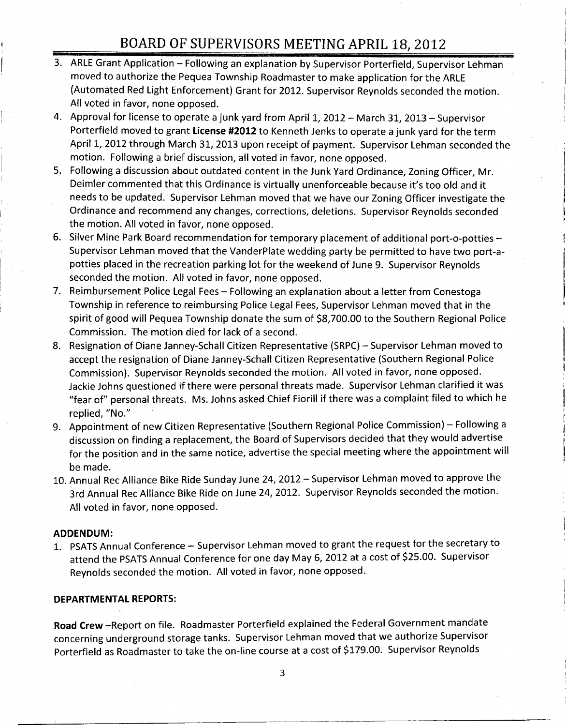- 3. ARLE Grant Application Following an explanation by Supervisor Porterfield, Supervisor Lehman moved to authorize the Pequea Township Roadmaster to make application for the ARLE Automated Red Light Enforcement) Grant for 2012. Supervisor Reynolds seconded the motion. All voted in favor, none opposed.
- 4. Approval for license to operate <sup>a</sup> junk yard from April 1, 2012 March 31, 2013 Supervisor Porterfield moved to grant License #2012 to Kenneth Jenks to operate a junk yard for the term April 1, 2012 through March 31, 2013 upon receipt of payment. Supervisor Lehman seconded the motion. Following <sup>a</sup> brief discussion, all voted in favor, none opposed.
- 5. Following <sup>a</sup> discussion about outdated content in the Junk Yard Ordinance, Zoning Officer, Mr. Deimler commented that this Ordinance is virtually unenforceable because it's too old and it needs to be updated. Supervisor Lehman moved that we have our Zoning Officer investigate the Ordinance and recommend any changes, corrections, deletions. Supervisor Reynolds seconded the motion. All voted in favor, none opposed.
- 6. Silver Mine Park Board recommendation for temporary placement of additional port -o- potties Supervisor Lehman moved that the VanderPlate wedding party be permitted to have two port -apotties placed in the recreation parking lot for the weekend of June 9. Supervisor Reynolds seconded the motion. All voted in favor, none opposed.
- 7. Reimbursement Police Legal Fees Following an explanation about <sup>a</sup> letter from Conestoga Township in reference to reimbursing Police Legal Fees, Supervisor Lehman moved that in the spirit of good will Pequea Township donate the sum of \$8,700.00 to the Southern Regional Police Commission. The motion died for lack of <sup>a</sup> second.
- 8. Resignation of Diane Janney-Schall Citizen Representative (SRPC) Supervisor Lehman moved to accept the resignation of Diane Janney-Schall Citizen Representative (Southern Regional Police Commission). Supervisor Reynolds seconded the motion. All voted in favor, none opposed. Jackie Johns questioned if there were personal threats made. Supervisor Lehman clarified it was fear of" personal threats. Ms. Johns asked Chief Fiorill if there was <sup>a</sup> complaint filed to which he replied, "No."
- 9. Appointment of new Citizen Representative (Southern Regional Police Commission) Following <sup>a</sup> discussion on finding <sup>a</sup> replacement, the Board of Supervisors decided that they would advertise for the position and in the same notice, advertise the special meeting where the appointment will be made.
- 10. Annual Rec Alliance Bike Ride Sunday June 24, 2012 Supervisor Lehman moved to approve the 3rd Annual Rec Alliance Bike Ride on June 24, 2012. Supervisor Reynolds seconded the motion. All voted in favor, none opposed.

#### ADDENDUM:

1. PSATS Annual Conference — Supervisor Lehman moved to grant the request for the secretary to attend the PSATS Annual Conference for one day May 6, 2012 at <sup>a</sup> cost of \$25.00. Supervisor Reynolds seconded the motion. All voted in favor, none opposed.

#### DEPARTMENTAL REPORTS:

Road Crew — Report on file. Roadmaster Porterfield explained the Federal Government mandate concerning underground storage tanks. Supervisor Lehman moved that we authorize Supervisor Porterfield as Roadmaster to take the on -line course at <sup>a</sup> cost of \$179.00. Supervisor Reynolds

3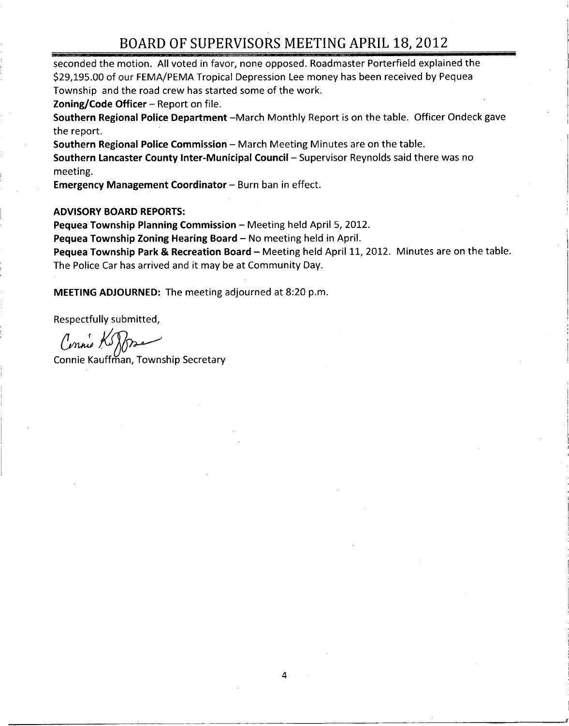seconded the motion. All voted in favor, none opposed. Roadmaster Porterfield explained the  $\vert$ 2011 DOT DOT DIVITO OT OUR THEFTITY THE TAT THE 20, 2022<br>Seconded the motion. All voted in favor, none opposed. Roadmaster Porterfield explained the<br>29,195.00 of our FEMA/PEMA Tropical Depression Lee money has been receive Township and the road crew has started some of the work.

Zoning/Code Officer  $-$  Report on file.

Southern Regional Police Department -March Monthly Report is on the table. Officer Ondeck gave the report.

Southern Regional Police Commission — March Meeting Minutes are on the table.

Southern Lancaster County Inter-Municipal Council - Supervisor Reynolds said there was no meeting.

Emergency Management Coordinator — Burn ban in effect.

#### ADVISORY BOARD REPORTS:

Pequea Township Planning Commission — Meeting held April 5, 2012.

Pequea Township Zoning Hearing Board — No meeting held in April.

Pequea Township Park & Recreation Board — Meeting held April 11, 2012. Minutes are on the table. The Police Car has arrived and it may be at Community Day.

MEETING ADJOURNED: The meeting adjourned at 8:20 p.m.

Respectfully submitted,

Connie Koffra

Connie Kauffman, Township Secretary